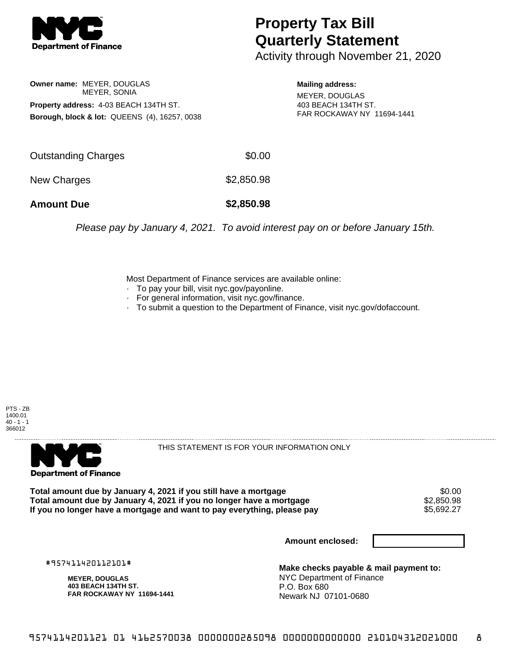

## **Property Tax Bill Quarterly Statement**

Activity through November 21, 2020

**Owner name:** MEYER, DOUGLAS MEYER, SONIA **Property address:** 4-03 BEACH 134TH ST. **Borough, block & lot:** QUEENS (4), 16257, 0038

**Mailing address:** MEYER, DOUGLAS 403 BEACH 134TH ST. FAR ROCKAWAY NY 11694-1441

| <b>Amount Due</b>   | \$2,850.98 |
|---------------------|------------|
| New Charges         | \$2,850.98 |
| Outstanding Charges | \$0.00     |

Please pay by January 4, 2021. To avoid interest pay on or before January 15th.

Most Department of Finance services are available online:

- · To pay your bill, visit nyc.gov/payonline.
- For general information, visit nyc.gov/finance.
- · To submit a question to the Department of Finance, visit nyc.gov/dofaccount.





THIS STATEMENT IS FOR YOUR INFORMATION ONLY

Total amount due by January 4, 2021 if you still have a mortgage \$0.00<br>Total amount due by January 4, 2021 if you no longer have a mortgage \$2.850.98 **Total amount due by January 4, 2021 if you no longer have a mortgage**  $$2,850.98$ **<br>If you no longer have a mortgage and want to pay everything, please pay** If you no longer have a mortgage and want to pay everything, please pay

**Amount enclosed:**

#957411420112101#

**MEYER, DOUGLAS 403 BEACH 134TH ST. FAR ROCKAWAY NY 11694-1441**

**Make checks payable & mail payment to:** NYC Department of Finance P.O. Box 680 Newark NJ 07101-0680